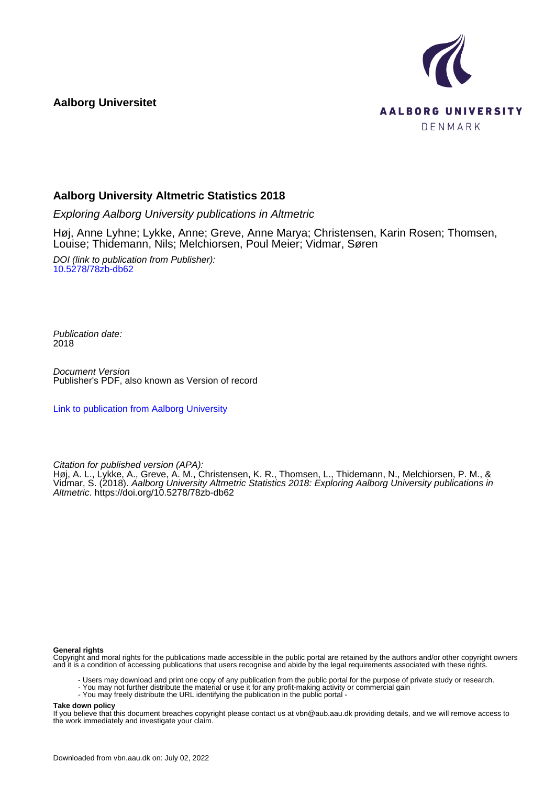**Aalborg Universitet**



### **Aalborg University Altmetric Statistics 2018**

Exploring Aalborg University publications in Altmetric

Høj, Anne Lyhne; Lykke, Anne; Greve, Anne Marya; Christensen, Karin Rosen; Thomsen, Louise; Thidemann, Nils; Melchiorsen, Poul Meier; Vidmar, Søren

DOI (link to publication from Publisher): [10.5278/78zb-db62](https://doi.org/10.5278/78zb-db62)

Publication date: 2018

Document Version Publisher's PDF, also known as Version of record

[Link to publication from Aalborg University](https://vbn.aau.dk/en/publications/8704a271-814e-46c0-b2ec-ae665673e55f)

Citation for published version (APA):

Høj, A. L., Lykke, A., Greve, A. M., Christensen, K. R., Thomsen, L., Thidemann, N., Melchiorsen, P. M., & Vidmar, S. (2018). Aalborg University Altmetric Statistics 2018: Exploring Aalborg University publications in Altmetric.<https://doi.org/10.5278/78zb-db62>

### **General rights**

Copyright and moral rights for the publications made accessible in the public portal are retained by the authors and/or other copyright owners and it is a condition of accessing publications that users recognise and abide by the legal requirements associated with these rights.

- Users may download and print one copy of any publication from the public portal for the purpose of private study or research.
- You may not further distribute the material or use it for any profit-making activity or commercial gain
- You may freely distribute the URL identifying the publication in the public portal -

### **Take down policy**

If you believe that this document breaches copyright please contact us at vbn@aub.aau.dk providing details, and we will remove access to the work immediately and investigate your claim.